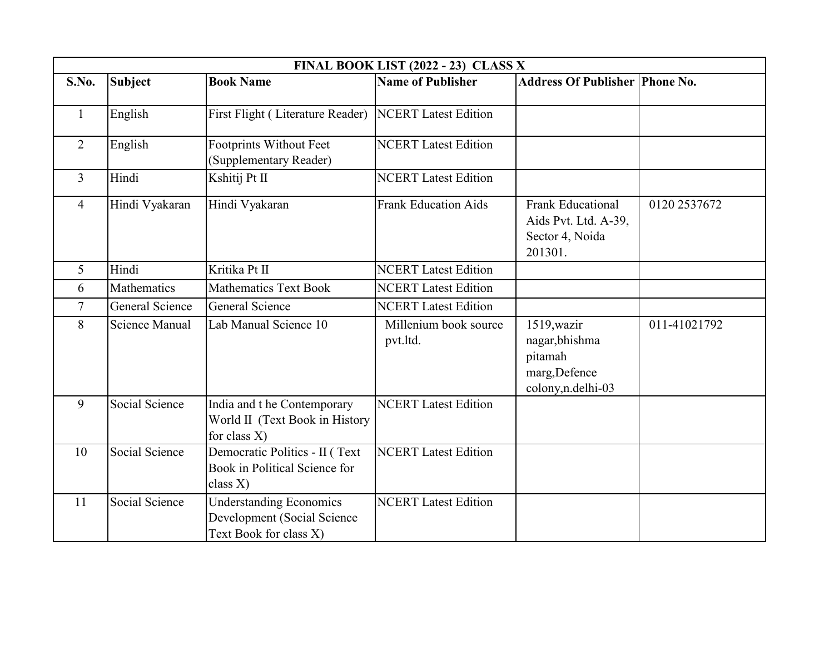|                | FINAL BOOK LIST (2022 - 23) CLASS X |                                                                                         |                                   |                                                                                 |              |  |  |
|----------------|-------------------------------------|-----------------------------------------------------------------------------------------|-----------------------------------|---------------------------------------------------------------------------------|--------------|--|--|
| S.No.          | <b>Subject</b>                      | <b>Book Name</b>                                                                        | <b>Name of Publisher</b>          | <b>Address Of Publisher Phone No.</b>                                           |              |  |  |
| $\mathbf{1}$   | English                             | First Flight (Literature Reader)                                                        | <b>NCERT</b> Latest Edition       |                                                                                 |              |  |  |
| 2              | English                             | Footprints Without Feet<br>(Supplementary Reader)                                       | <b>NCERT</b> Latest Edition       |                                                                                 |              |  |  |
| $\overline{3}$ | Hindi                               | Kshitij Pt II                                                                           | <b>NCERT</b> Latest Edition       |                                                                                 |              |  |  |
| $\overline{4}$ | Hindi Vyakaran                      | Hindi Vyakaran                                                                          | <b>Frank Education Aids</b>       | <b>Frank Educational</b><br>Aids Pvt. Ltd. A-39,<br>Sector 4, Noida<br>201301.  | 0120 2537672 |  |  |
| 5              | Hindi                               | Kritika Pt II                                                                           | <b>NCERT</b> Latest Edition       |                                                                                 |              |  |  |
| 6              | Mathematics                         | <b>Mathematics Text Book</b>                                                            | <b>NCERT</b> Latest Edition       |                                                                                 |              |  |  |
| $\overline{7}$ | General Science                     | <b>General Science</b>                                                                  | <b>NCERT</b> Latest Edition       |                                                                                 |              |  |  |
| 8              | Science Manual                      | Lab Manual Science 10                                                                   | Millenium book source<br>pvt.ltd. | 1519, wazir<br>nagar, bhishma<br>pitamah<br>marg, Defence<br>colony, n.delhi-03 | 011-41021792 |  |  |
| 9              | Social Science                      | India and t he Contemporary<br>World II (Text Book in History<br>for class $X$ )        | <b>NCERT</b> Latest Edition       |                                                                                 |              |  |  |
| 10             | Social Science                      | Democratic Politics - II (Text<br>Book in Political Science for<br>class $X$ )          | <b>NCERT</b> Latest Edition       |                                                                                 |              |  |  |
| 11             | Social Science                      | <b>Understanding Economics</b><br>Development (Social Science<br>Text Book for class X) | <b>NCERT</b> Latest Edition       |                                                                                 |              |  |  |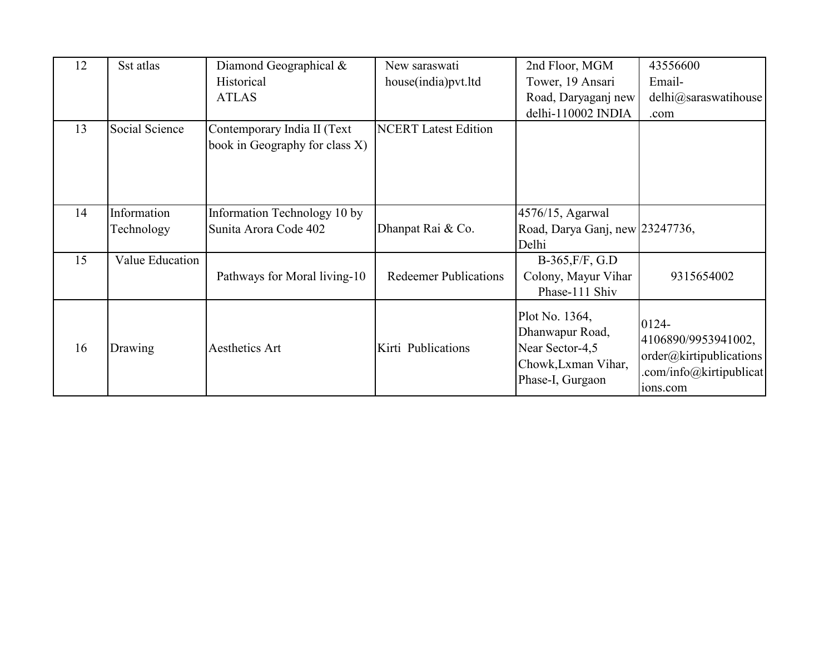| 12 | Sst atlas       | Diamond Geographical &         | New saraswati                | 2nd Floor, MGM                                                                                  | 43556600                                                                           |
|----|-----------------|--------------------------------|------------------------------|-------------------------------------------------------------------------------------------------|------------------------------------------------------------------------------------|
|    |                 | Historical                     | house(india)pvt.ltd          | Tower, 19 Ansari                                                                                | Email-                                                                             |
|    |                 | <b>ATLAS</b>                   |                              | Road, Daryaganj new                                                                             | delhi@saraswatihouse                                                               |
|    |                 |                                |                              | delhi-110002 INDIA                                                                              | .com                                                                               |
| 13 | Social Science  | Contemporary India II (Text    | <b>NCERT</b> Latest Edition  |                                                                                                 |                                                                                    |
|    |                 | book in Geography for class X) |                              |                                                                                                 |                                                                                    |
|    |                 |                                |                              |                                                                                                 |                                                                                    |
|    |                 |                                |                              |                                                                                                 |                                                                                    |
|    |                 |                                |                              |                                                                                                 |                                                                                    |
| 14 | Information     | Information Technology 10 by   |                              | 4576/15, Agarwal                                                                                |                                                                                    |
|    | Technology      | Sunita Arora Code 402          | Dhanpat Rai & Co.            | Road, Darya Ganj, new 23247736,                                                                 |                                                                                    |
|    |                 |                                |                              | Delhi                                                                                           |                                                                                    |
| 15 | Value Education |                                |                              | $B-365$ , $F/F$ , G.D                                                                           |                                                                                    |
|    |                 | Pathways for Moral living-10   | <b>Redeemer Publications</b> | Colony, Mayur Vihar                                                                             | 9315654002                                                                         |
|    |                 |                                |                              | Phase-111 Shiv                                                                                  |                                                                                    |
| 16 | Drawing         | Aesthetics Art                 | Kirti Publications           | Plot No. 1364,<br>Dhanwapur Road,<br>Near Sector-4,5<br>Chowk, Lxman Vihar,<br>Phase-I, Gurgaon | 0124-<br>4106890/9953941002,<br>order@kirtipublications<br>.com/info@kirtipublicat |
|    |                 |                                |                              |                                                                                                 | 10 <sub>ns.com</sub>                                                               |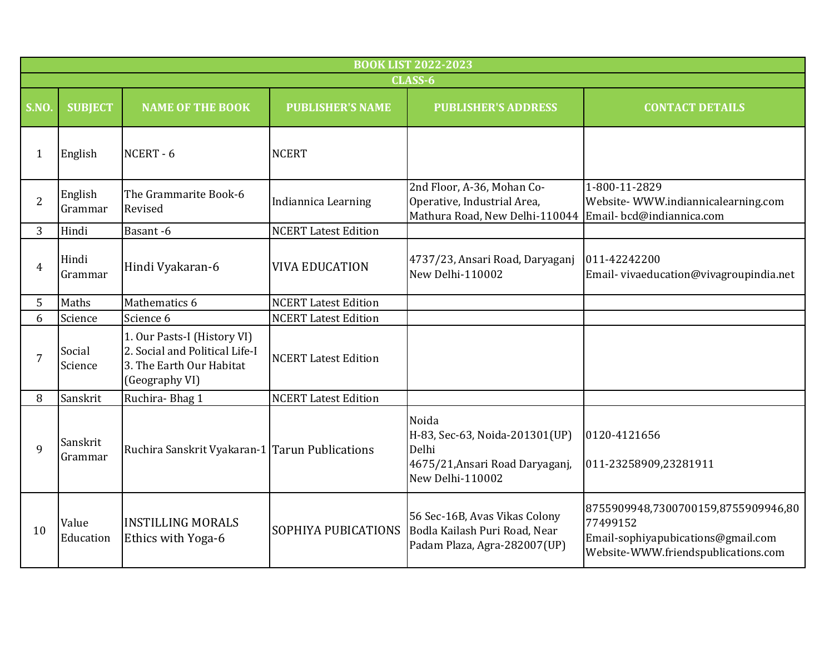|                | <b>BOOK LIST 2022-2023</b> |                                                                                                             |                             |                                                                                                         |                                                                                                                              |  |  |  |
|----------------|----------------------------|-------------------------------------------------------------------------------------------------------------|-----------------------------|---------------------------------------------------------------------------------------------------------|------------------------------------------------------------------------------------------------------------------------------|--|--|--|
|                | CLASS-6                    |                                                                                                             |                             |                                                                                                         |                                                                                                                              |  |  |  |
| S.NO.          | <b>SUBJECT</b>             | <b>NAME OF THE BOOK</b>                                                                                     | <b>PUBLISHER'S NAME</b>     | <b>PUBLISHER'S ADDRESS</b>                                                                              | <b>CONTACT DETAILS</b>                                                                                                       |  |  |  |
| $\mathbf{1}$   | English                    | NCERT-6                                                                                                     | <b>NCERT</b>                |                                                                                                         |                                                                                                                              |  |  |  |
| $\overline{2}$ | English<br>Grammar         | The Grammarite Book-6<br>Revised                                                                            | Indiannica Learning         | 2nd Floor, A-36, Mohan Co-<br>Operative, Industrial Area,<br>Mathura Road, New Delhi-110044             | 1-800-11-2829<br>Website-WWW.indiannicalearning.com<br>Email-bcd@indiannica.com                                              |  |  |  |
| 3              | Hindi                      | Basant-6                                                                                                    | <b>NCERT Latest Edition</b> |                                                                                                         |                                                                                                                              |  |  |  |
| $\overline{4}$ | Hindi<br>Grammar           | Hindi Vyakaran-6                                                                                            | <b>VIVA EDUCATION</b>       | 4737/23, Ansari Road, Daryaganj<br>New Delhi-110002                                                     | 011-42242200<br>Email-vivaeducation@vivagroupindia.net                                                                       |  |  |  |
| 5              | Maths                      | Mathematics 6                                                                                               | <b>NCERT Latest Edition</b> |                                                                                                         |                                                                                                                              |  |  |  |
| 6              | Science                    | Science 6                                                                                                   | <b>NCERT Latest Edition</b> |                                                                                                         |                                                                                                                              |  |  |  |
| $\overline{7}$ | Social<br>Science          | 1. Our Pasts-I (History VI)<br>2. Social and Political Life-I<br>3. The Earth Our Habitat<br>(Geography VI) | <b>NCERT Latest Edition</b> |                                                                                                         |                                                                                                                              |  |  |  |
| 8              | Sanskrit                   | Ruchira-Bhag 1                                                                                              | <b>NCERT Latest Edition</b> |                                                                                                         |                                                                                                                              |  |  |  |
| 9              | Sanskrit<br>Grammar        | Ruchira Sanskrit Vyakaran-1 Tarun Publications                                                              |                             | Noida<br>H-83, Sec-63, Noida-201301(UP)<br>Delhi<br>4675/21, Ansari Road Daryaganj,<br>New Delhi-110002 | 0120-4121656<br>011-23258909,23281911                                                                                        |  |  |  |
| 10             | Value<br>Education         | <b>INSTILLING MORALS</b><br>Ethics with Yoga-6                                                              | <b>SOPHIYA PUBICATIONS</b>  | 56 Sec-16B, Avas Vikas Colony<br>Bodla Kailash Puri Road, Near<br>Padam Plaza, Agra-282007(UP)          | 8755909948,7300700159,8755909946,80<br>77499152<br>Email-sophiyapubications@gmail.com<br>Website-WWW.friendspublications.com |  |  |  |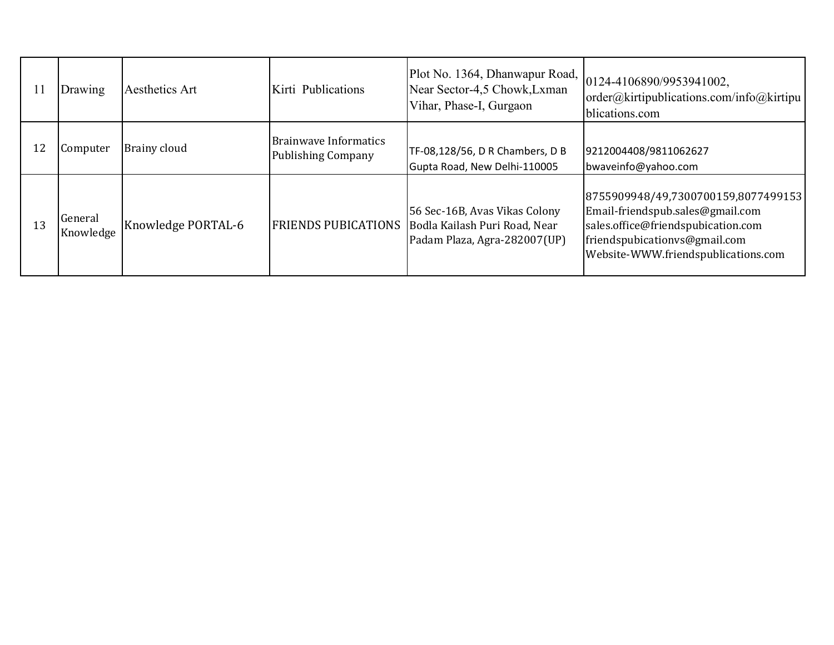| l 1 | Drawing              | Aesthetics Art     | Kirti Publications                                 | Plot No. 1364, Dhanwapur Road,<br>Near Sector-4,5 Chowk, Lxman<br>Vihar, Phase-I, Gurgaon      | 0124-4106890/9953941002,<br> order@kirtipublications.com/info@kirtipu  <br>blications.com                                                                                             |
|-----|----------------------|--------------------|----------------------------------------------------|------------------------------------------------------------------------------------------------|---------------------------------------------------------------------------------------------------------------------------------------------------------------------------------------|
| 12  | Computer             | Brainy cloud       | Brainwave Informatics<br><b>Publishing Company</b> | TF-08,128/56, D R Chambers, D B<br>Gupta Road, New Delhi-110005                                | 9212004408/9811062627<br>bwaveinfo@yahoo.com                                                                                                                                          |
| 13  | General<br>Knowledge | Knowledge PORTAL-6 | <b>FRIENDS PUBICATIONS</b>                         | 56 Sec-16B, Avas Vikas Colony<br>Bodla Kailash Puri Road, Near<br>Padam Plaza, Agra-282007(UP) | 8755909948/49,7300700159,8077499153<br>Email-friendspub.sales@gmail.com<br>sales.office@friendspubication.com<br>friendspubicationys@gmail.com<br>Website-WWW.friendspublications.com |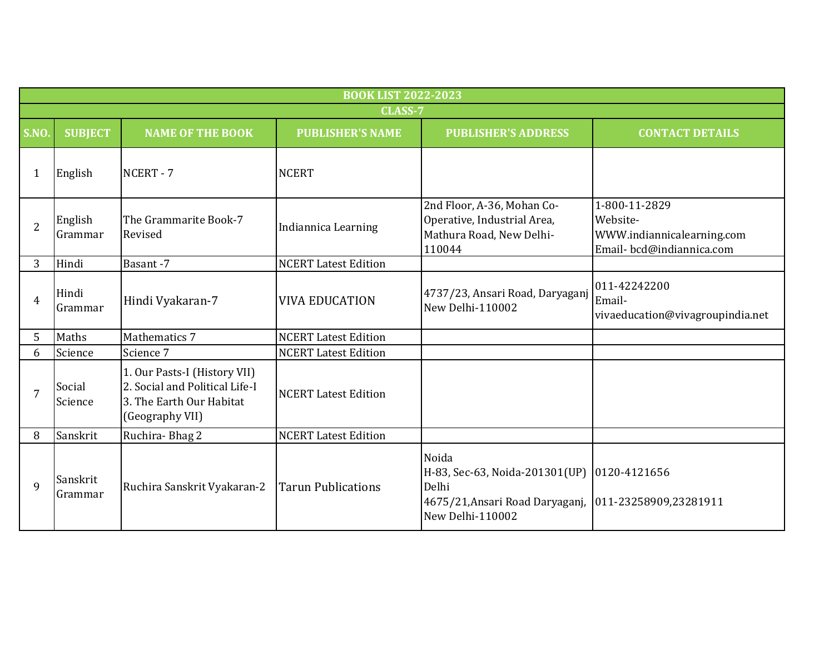|                           | <b>BOOK LIST 2022-2023</b> |                                                                                                               |                             |                                                                                                                                             |                                                                                     |  |  |
|---------------------------|----------------------------|---------------------------------------------------------------------------------------------------------------|-----------------------------|---------------------------------------------------------------------------------------------------------------------------------------------|-------------------------------------------------------------------------------------|--|--|
|                           |                            |                                                                                                               | CLASS-7                     |                                                                                                                                             |                                                                                     |  |  |
| S.NO                      | <b>SUBJECT</b>             | <b>NAME OF THE BOOK</b>                                                                                       | <b>PUBLISHER'S NAME</b>     | <b>PUBLISHER'S ADDRESS</b>                                                                                                                  | <b>CONTACT DETAILS</b>                                                              |  |  |
| 1                         | English                    | NCERT-7                                                                                                       | <b>NCERT</b>                |                                                                                                                                             |                                                                                     |  |  |
| $\overline{2}$            | English<br>Grammar         | The Grammarite Book-7<br>Revised                                                                              | Indiannica Learning         | 2nd Floor, A-36, Mohan Co-<br>Operative, Industrial Area,<br>Mathura Road, New Delhi-<br>110044                                             | 1-800-11-2829<br>Website-<br>WWW.indiannicalearning.com<br>Email-bcd@indiannica.com |  |  |
| 3                         | Hindi                      | Basant-7                                                                                                      | <b>NCERT Latest Edition</b> |                                                                                                                                             |                                                                                     |  |  |
| $\boldsymbol{\varLambda}$ | Hindi<br>Grammar           | Hindi Vyakaran-7                                                                                              | <b>VIVA EDUCATION</b>       | 4737/23, Ansari Road, Daryaganj<br>New Delhi-110002                                                                                         | 011-42242200<br>Email-<br>vivaeducation@vivagroupindia.net                          |  |  |
| 5                         | Maths                      | Mathematics 7                                                                                                 | <b>NCERT Latest Edition</b> |                                                                                                                                             |                                                                                     |  |  |
| 6                         | Science                    | Science 7                                                                                                     | <b>NCERT Latest Edition</b> |                                                                                                                                             |                                                                                     |  |  |
| 7                         | Social<br>Science          | 1. Our Pasts-I (History VII)<br>2. Social and Political Life-I<br>3. The Earth Our Habitat<br>(Geography VII) | <b>NCERT</b> Latest Edition |                                                                                                                                             |                                                                                     |  |  |
| 8                         | Sanskrit                   | Ruchira-Bhag 2                                                                                                | <b>NCERT Latest Edition</b> |                                                                                                                                             |                                                                                     |  |  |
| $\mathbf{q}$              | Sanskrit<br>Grammar        | Ruchira Sanskrit Vyakaran-2                                                                                   | <b>Tarun Publications</b>   | Noida<br>H-83, Sec-63, Noida-201301(UP) 0120-4121656<br>Delhi<br>4675/21, Ansari Road Daryaganj, 011-23258909, 23281911<br>New Delhi-110002 |                                                                                     |  |  |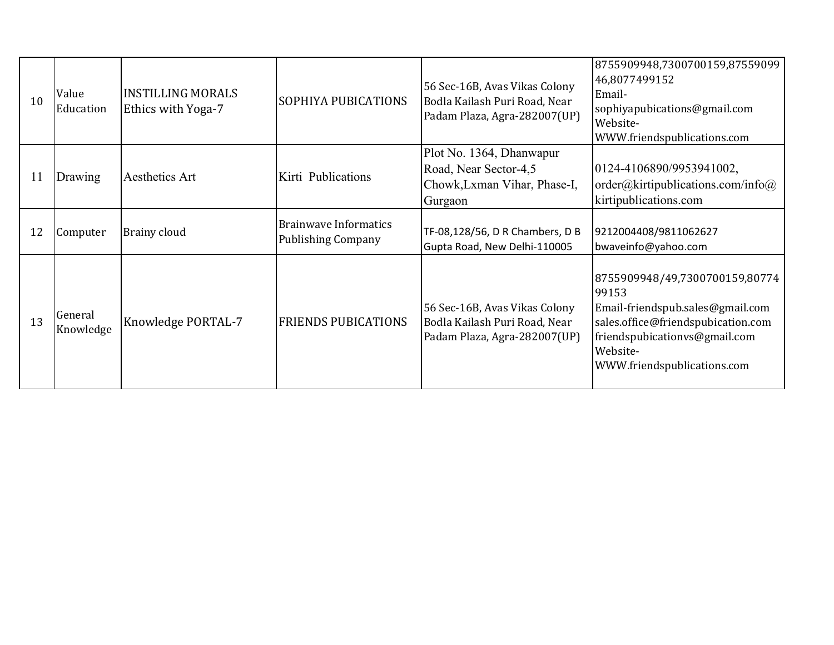| 10 | Value<br>Education   | <b>INSTILLING MORALS</b><br>Ethics with Yoga-7 | <b>SOPHIYA PUBICATIONS</b>                                | 56 Sec-16B, Avas Vikas Colony<br>Bodla Kailash Puri Road, Near<br>Padam Plaza, Agra-282007(UP) | 8755909948,7300700159,87559099<br>46,8077499152<br>Email-<br>sophiyapubications@gmail.com<br>Website-<br>WWW.friendspublications.com                                                          |
|----|----------------------|------------------------------------------------|-----------------------------------------------------------|------------------------------------------------------------------------------------------------|-----------------------------------------------------------------------------------------------------------------------------------------------------------------------------------------------|
| 11 | Drawing              | Aesthetics Art                                 | Kirti Publications                                        | Plot No. 1364, Dhanwapur<br>Road, Near Sector-4,5<br>Chowk, Lxman Vihar, Phase-I,<br>Gurgaon   | 0124-4106890/9953941002,<br>$order(a)$ kirtipublications.com/info $(a)$<br>kirtipublications.com                                                                                              |
| 12 | Computer             | Brainy cloud                                   | <b>Brainwave Informatics</b><br><b>Publishing Company</b> | TF-08,128/56, D R Chambers, D B<br>Gupta Road, New Delhi-110005                                | 9212004408/9811062627<br>bwaveinfo@yahoo.com                                                                                                                                                  |
| 13 | General<br>Knowledge | <b>Knowledge PORTAL-7</b>                      | <b>FRIENDS PUBICATIONS</b>                                | 56 Sec-16B, Avas Vikas Colony<br>Bodla Kailash Puri Road, Near<br>Padam Plaza, Agra-282007(UP) | 8755909948/49,7300700159,80774<br>99153<br>Email-friendspub.sales@gmail.com<br>sales.office@friendspubication.com<br>friendspubicationvs@gmail.com<br>Website-<br>WWW.friendspublications.com |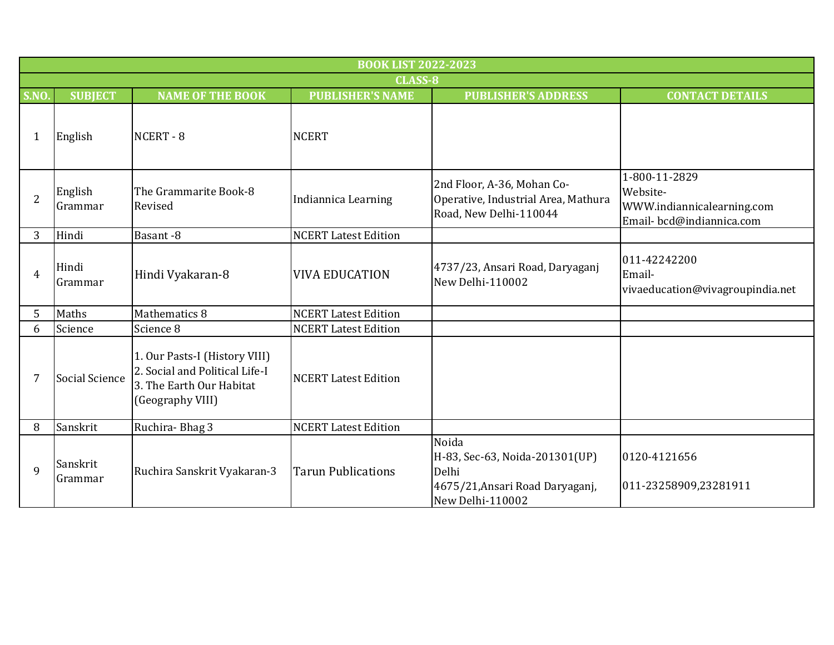|                | <b>BOOK LIST 2022-2023</b> |                                                                                                                 |                             |                                                                                                         |                                                                                     |  |
|----------------|----------------------------|-----------------------------------------------------------------------------------------------------------------|-----------------------------|---------------------------------------------------------------------------------------------------------|-------------------------------------------------------------------------------------|--|
|                |                            |                                                                                                                 | <b>CLASS-8</b>              |                                                                                                         |                                                                                     |  |
| S.NO.          | <b>SUBJECT</b>             | <b>NAME OF THE BOOK</b>                                                                                         | <b>PUBLISHER'S NAME</b>     | <b>PUBLISHER'S ADDRESS</b>                                                                              | <b>CONTACT DETAILS</b>                                                              |  |
| 1              | English                    | NCERT-8                                                                                                         | <b>NCERT</b>                |                                                                                                         |                                                                                     |  |
| $\overline{2}$ | English<br>Grammar         | The Grammarite Book-8<br>Revised                                                                                | Indiannica Learning         | 2nd Floor, A-36, Mohan Co-<br>Operative, Industrial Area, Mathura<br>Road, New Delhi-110044             | 1-800-11-2829<br>Website-<br>WWW.indiannicalearning.com<br>Email-bcd@indiannica.com |  |
| 3              | Hindi                      | Basant-8                                                                                                        | <b>NCERT Latest Edition</b> |                                                                                                         |                                                                                     |  |
| $\overline{4}$ | Hindi<br>Grammar           | Hindi Vyakaran-8                                                                                                | <b>VIVA EDUCATION</b>       | 4737/23, Ansari Road, Daryaganj<br>New Delhi-110002                                                     | 011-42242200<br>Email-<br>vivaeducation@vivagroupindia.net                          |  |
| 5              | Maths                      | Mathematics 8                                                                                                   | <b>NCERT Latest Edition</b> |                                                                                                         |                                                                                     |  |
| 6              | Science                    | Science 8                                                                                                       | <b>NCERT Latest Edition</b> |                                                                                                         |                                                                                     |  |
| 7              | Social Science             | 1. Our Pasts-I (History VIII)<br>2. Social and Political Life-I<br>3. The Earth Our Habitat<br>(Geography VIII) | <b>NCERT Latest Edition</b> |                                                                                                         |                                                                                     |  |
| 8              | Sanskrit                   | Ruchira-Bhag 3                                                                                                  | <b>NCERT Latest Edition</b> |                                                                                                         |                                                                                     |  |
| 9              | Sanskrit<br>Grammar        | Ruchira Sanskrit Vyakaran-3                                                                                     | <b>Tarun Publications</b>   | Noida<br>H-83, Sec-63, Noida-201301(UP)<br>Delhi<br>4675/21, Ansari Road Daryaganj,<br>New Delhi-110002 | 0120-4121656<br>011-23258909,23281911                                               |  |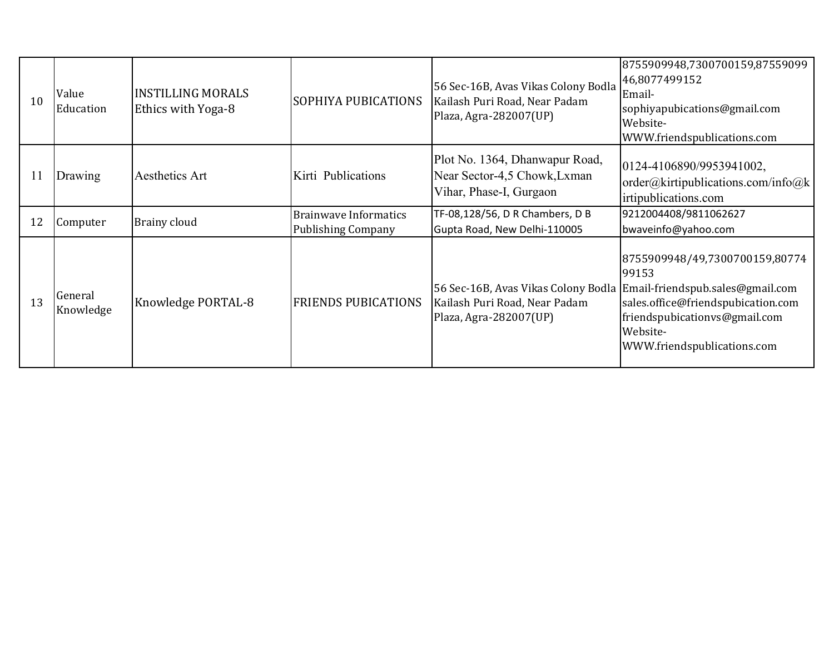| 10<br>11 | Value<br>Education<br>Drawing | <b>INSTILLING MORALS</b><br>Ethics with Yoga-8<br>Aesthetics Art | SOPHIYA PUBICATIONS<br>Kirti Publications                 | Kailash Puri Road, Near Padam<br>Plaza, Agra-282007(UP)<br>Plot No. 1364, Dhanwapur Road,<br>Near Sector-4,5 Chowk, Lxman<br>Vihar, Phase-I, Gurgaon | Email-<br>sophiyapubications@gmail.com<br>Website-<br>WWW.friendspublications.com<br>0124-4106890/9953941002,<br>order@kirtipublications.com/info@k<br>irtipublications.com<br>9212004408/9811062627 |
|----------|-------------------------------|------------------------------------------------------------------|-----------------------------------------------------------|------------------------------------------------------------------------------------------------------------------------------------------------------|------------------------------------------------------------------------------------------------------------------------------------------------------------------------------------------------------|
| 12       | Computer                      | <b>Brainy cloud</b>                                              | <b>Brainwave Informatics</b><br><b>Publishing Company</b> | TF-08,128/56, D R Chambers, D B<br>Gupta Road, New Delhi-110005                                                                                      | bwaveinfo@yahoo.com                                                                                                                                                                                  |
| 13       | General<br>Knowledge          | Knowledge PORTAL-8                                               | <b>FRIENDS PUBICATIONS</b>                                | 56 Sec-16B, Avas Vikas Colony Bodla<br>Kailash Puri Road, Near Padam<br>Plaza, Agra-282007(UP)                                                       | 8755909948/49,7300700159,80774<br>99153<br>Email-friendspub.sales@gmail.com<br>sales.office@friendspubication.com<br>friendspubicationvs@gmail.com<br>Website-<br>WWW.friendspublications.com        |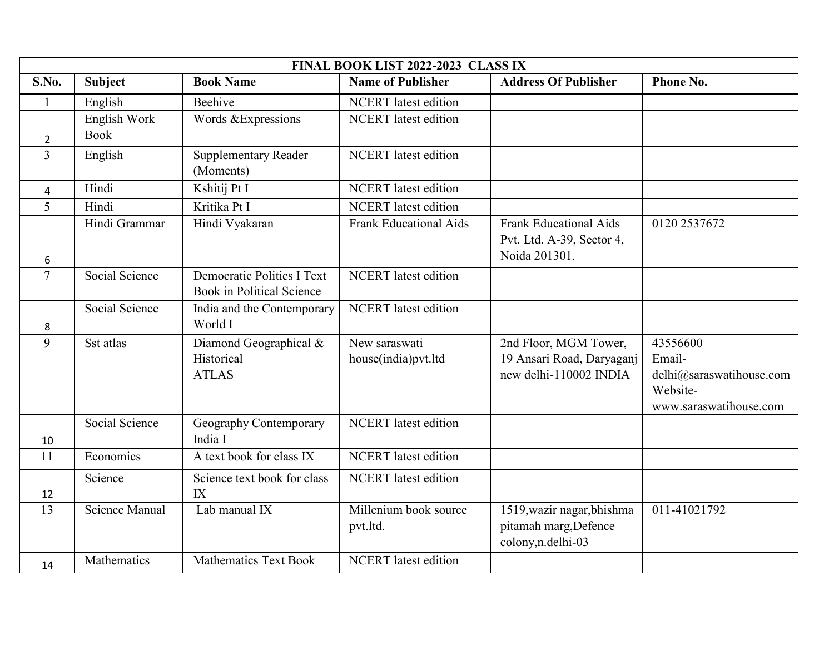| FINAL BOOK LIST 2022-2023 CLASS IX |                             |                                                                |                                      |                                                                              |                                                                                      |  |
|------------------------------------|-----------------------------|----------------------------------------------------------------|--------------------------------------|------------------------------------------------------------------------------|--------------------------------------------------------------------------------------|--|
| S.No.                              | <b>Subject</b>              | <b>Book Name</b>                                               | <b>Name of Publisher</b>             | <b>Address Of Publisher</b>                                                  | Phone No.                                                                            |  |
| $\mathbf{1}$                       | English                     | Beehive                                                        | <b>NCERT</b> latest edition          |                                                                              |                                                                                      |  |
| $\overline{2}$                     | English Work<br><b>Book</b> | Words &Expressions                                             | <b>NCERT</b> latest edition          |                                                                              |                                                                                      |  |
| $\overline{3}$                     | English                     | <b>Supplementary Reader</b><br>(Moments)                       | <b>NCERT</b> latest edition          |                                                                              |                                                                                      |  |
| 4                                  | Hindi                       | Kshitij Pt I                                                   | <b>NCERT</b> latest edition          |                                                                              |                                                                                      |  |
| 5                                  | Hindi                       | Kritika Pt I                                                   | <b>NCERT</b> latest edition          |                                                                              |                                                                                      |  |
| 6                                  | Hindi Grammar               | Hindi Vyakaran                                                 | <b>Frank Educational Aids</b>        | <b>Frank Educational Aids</b><br>Pvt. Ltd. A-39, Sector 4,<br>Noida 201301.  | 0120 2537672                                                                         |  |
| $\overline{7}$                     | Social Science              | <b>Democratic Politics I Text</b><br>Book in Political Science | <b>NCERT</b> latest edition          |                                                                              |                                                                                      |  |
| 8                                  | Social Science              | India and the Contemporary<br>World I                          | <b>NCERT</b> latest edition          |                                                                              |                                                                                      |  |
| 9                                  | Sst atlas                   | Diamond Geographical &<br>Historical<br><b>ATLAS</b>           | New saraswati<br>house(india)pvt.ltd | 2nd Floor, MGM Tower,<br>19 Ansari Road, Daryaganj<br>new delhi-110002 INDIA | 43556600<br>Email-<br>delhi@saraswatihouse.com<br>Website-<br>www.saraswatihouse.com |  |
| 10                                 | Social Science              | Geography Contemporary<br>India I                              | <b>NCERT</b> latest edition          |                                                                              |                                                                                      |  |
| 11                                 | Economics                   | A text book for class IX                                       | <b>NCERT</b> latest edition          |                                                                              |                                                                                      |  |
| 12                                 | Science                     | Science text book for class<br>IX                              | <b>NCERT</b> latest edition          |                                                                              |                                                                                      |  |
| 13                                 | <b>Science Manual</b>       | Lab manual $\overline{IX}$                                     | Millenium book source<br>pvt.ltd.    | 1519, wazir nagar, bhishma<br>pitamah marg, Defence<br>colony, n.delhi-03    | 011-41021792                                                                         |  |
| 14                                 | Mathematics                 | <b>Mathematics Text Book</b>                                   | <b>NCERT</b> latest edition          |                                                                              |                                                                                      |  |